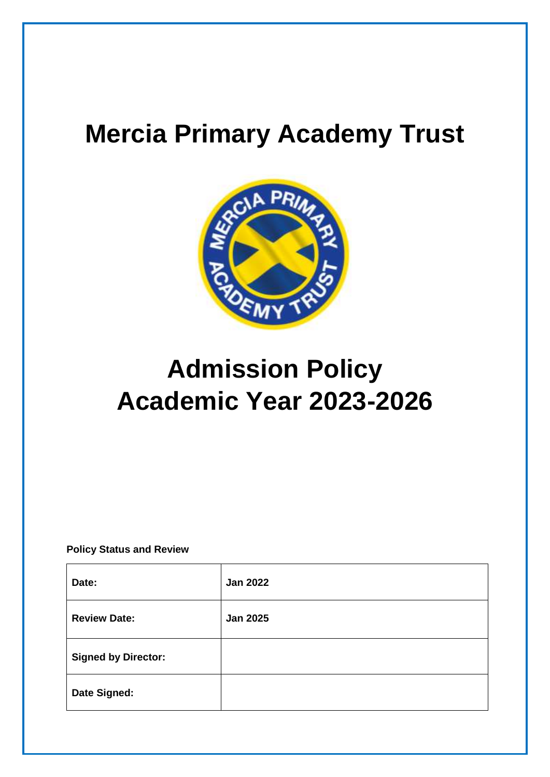## **Mercia Primary Academy Trust**



# **Admission Policy Academic Year 2023-2026**

**Policy Status and Review**

| Date:                      | <b>Jan 2022</b> |
|----------------------------|-----------------|
| <b>Review Date:</b>        | <b>Jan 2025</b> |
| <b>Signed by Director:</b> |                 |
| Date Signed:               |                 |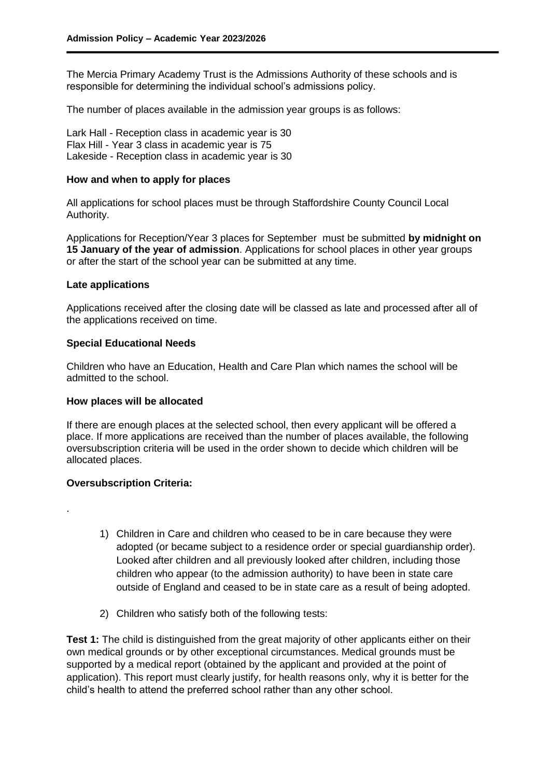The Mercia Primary Academy Trust is the Admissions Authority of these schools and is responsible for determining the individual school's admissions policy.

The number of places available in the admission year groups is as follows:

Lark Hall - Reception class in academic year is 30 Flax Hill - Year 3 class in academic year is 75 Lakeside - Reception class in academic year is 30

#### **How and when to apply for places**

All applications for school places must be through Staffordshire County Council Local Authority.

Applications for Reception/Year 3 places for September must be submitted **by midnight on 15 January of the year of admission**. Applications for school places in other year groups or after the start of the school year can be submitted at any time.

#### **Late applications**

Applications received after the closing date will be classed as late and processed after all of the applications received on time.

#### **Special Educational Needs**

Children who have an Education, Health and Care Plan which names the school will be admitted to the school.

#### **How places will be allocated**

If there are enough places at the selected school, then every applicant will be offered a place. If more applications are received than the number of places available, the following oversubscription criteria will be used in the order shown to decide which children will be allocated places.

### **Oversubscription Criteria:**

.

- 1) Children in Care and children who ceased to be in care because they were adopted (or became subject to a residence order or special guardianship order). Looked after children and all previously looked after children, including those children who appear (to the admission authority) to have been in state care outside of England and ceased to be in state care as a result of being adopted.
- 2) Children who satisfy both of the following tests:

**Test 1:** The child is distinguished from the great majority of other applicants either on their own medical grounds or by other exceptional circumstances. Medical grounds must be supported by a medical report (obtained by the applicant and provided at the point of application). This report must clearly justify, for health reasons only, why it is better for the child's health to attend the preferred school rather than any other school.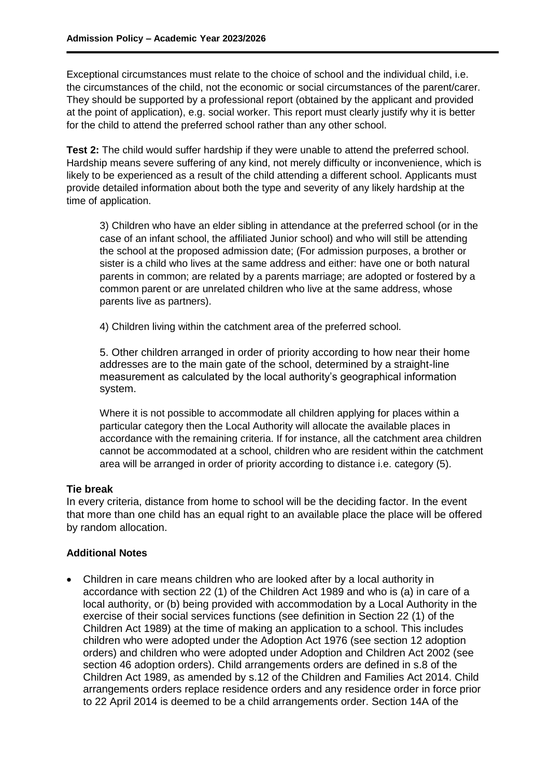Exceptional circumstances must relate to the choice of school and the individual child, i.e. the circumstances of the child, not the economic or social circumstances of the parent/carer. They should be supported by a professional report (obtained by the applicant and provided at the point of application), e.g. social worker. This report must clearly justify why it is better for the child to attend the preferred school rather than any other school.

**Test 2:** The child would suffer hardship if they were unable to attend the preferred school. Hardship means severe suffering of any kind, not merely difficulty or inconvenience, which is likely to be experienced as a result of the child attending a different school. Applicants must provide detailed information about both the type and severity of any likely hardship at the time of application.

3) Children who have an elder sibling in attendance at the preferred school (or in the case of an infant school, the affiliated Junior school) and who will still be attending the school at the proposed admission date; (For admission purposes, a brother or sister is a child who lives at the same address and either: have one or both natural parents in common; are related by a parents marriage; are adopted or fostered by a common parent or are unrelated children who live at the same address, whose parents live as partners).

4) Children living within the catchment area of the preferred school.

5. Other children arranged in order of priority according to how near their home addresses are to the main gate of the school, determined by a straight-line measurement as calculated by the local authority's geographical information system.

Where it is not possible to accommodate all children applying for places within a particular category then the Local Authority will allocate the available places in accordance with the remaining criteria. If for instance, all the catchment area children cannot be accommodated at a school, children who are resident within the catchment area will be arranged in order of priority according to distance i.e. category (5).

## **Tie break**

In every criteria, distance from home to school will be the deciding factor. In the event that more than one child has an equal right to an available place the place will be offered by random allocation.

## **Additional Notes**

 Children in care means children who are looked after by a local authority in accordance with section 22 (1) of the Children Act 1989 and who is (a) in care of a local authority, or (b) being provided with accommodation by a Local Authority in the exercise of their social services functions (see definition in Section 22 (1) of the Children Act 1989) at the time of making an application to a school. This includes children who were adopted under the Adoption Act 1976 (see section 12 adoption orders) and children who were adopted under Adoption and Children Act 2002 (see section 46 adoption orders). Child arrangements orders are defined in s.8 of the Children Act 1989, as amended by s.12 of the Children and Families Act 2014. Child arrangements orders replace residence orders and any residence order in force prior to 22 April 2014 is deemed to be a child arrangements order. Section 14A of the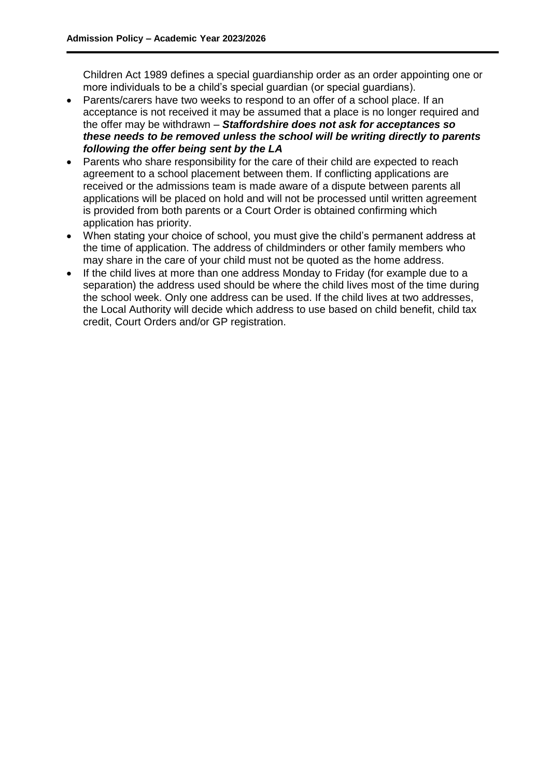Children Act 1989 defines a special guardianship order as an order appointing one or more individuals to be a child's special guardian (or special guardians).

- Parents/carers have two weeks to respond to an offer of a school place. If an acceptance is not received it may be assumed that a place is no longer required and the offer may be withdrawn – *Staffordshire does not ask for acceptances so these needs to be removed unless the school will be writing directly to parents following the offer being sent by the LA*
- Parents who share responsibility for the care of their child are expected to reach agreement to a school placement between them. If conflicting applications are received or the admissions team is made aware of a dispute between parents all applications will be placed on hold and will not be processed until written agreement is provided from both parents or a Court Order is obtained confirming which application has priority.
- When stating your choice of school, you must give the child's permanent address at the time of application. The address of childminders or other family members who may share in the care of your child must not be quoted as the home address.
- If the child lives at more than one address Monday to Friday (for example due to a separation) the address used should be where the child lives most of the time during the school week. Only one address can be used. If the child lives at two addresses, the Local Authority will decide which address to use based on child benefit, child tax credit, Court Orders and/or GP registration.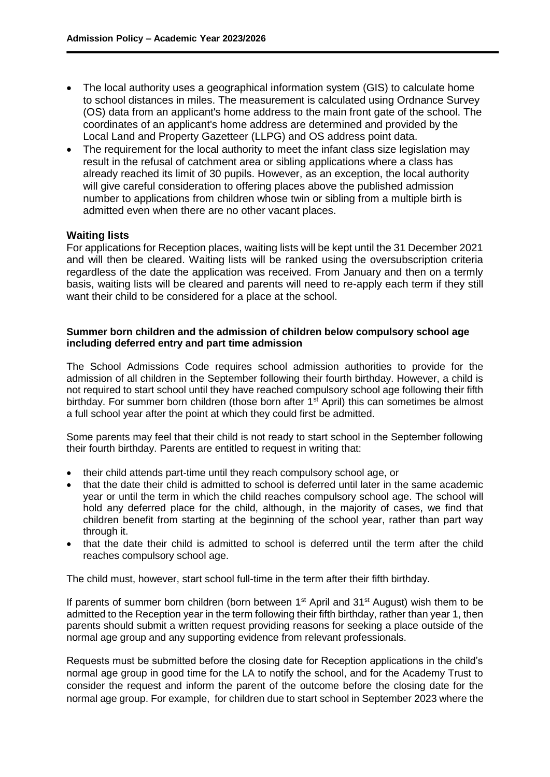- The local authority uses a geographical information system (GIS) to calculate home to school distances in miles. The measurement is calculated using Ordnance Survey (OS) data from an applicant's home address to the main front gate of the school. The coordinates of an applicant's home address are determined and provided by the Local Land and Property Gazetteer (LLPG) and OS address point data.
- The requirement for the local authority to meet the infant class size legislation may result in the refusal of catchment area or sibling applications where a class has already reached its limit of 30 pupils. However, as an exception, the local authority will give careful consideration to offering places above the published admission number to applications from children whose twin or sibling from a multiple birth is admitted even when there are no other vacant places.

## **Waiting lists**

For applications for Reception places, waiting lists will be kept until the 31 December 2021 and will then be cleared. Waiting lists will be ranked using the oversubscription criteria regardless of the date the application was received. From January and then on a termly basis, waiting lists will be cleared and parents will need to re-apply each term if they still want their child to be considered for a place at the school.

## **Summer born children and the admission of children below compulsory school age including deferred entry and part time admission**

The School Admissions Code requires school admission authorities to provide for the admission of all children in the September following their fourth birthday. However, a child is not required to start school until they have reached compulsory school age following their fifth birthday. For summer born children (those born after 1<sup>st</sup> April) this can sometimes be almost a full school year after the point at which they could first be admitted.

Some parents may feel that their child is not ready to start school in the September following their fourth birthday. Parents are entitled to request in writing that:

- their child attends part-time until they reach compulsory school age, or
- that the date their child is admitted to school is deferred until later in the same academic year or until the term in which the child reaches compulsory school age. The school will hold any deferred place for the child, although, in the majority of cases, we find that children benefit from starting at the beginning of the school year, rather than part way through it.
- that the date their child is admitted to school is deferred until the term after the child reaches compulsory school age.

The child must, however, start school full-time in the term after their fifth birthday.

If parents of summer born children (born between  $1<sup>st</sup>$  April and  $31<sup>st</sup>$  August) wish them to be admitted to the Reception year in the term following their fifth birthday, rather than year 1, then parents should submit a written request providing reasons for seeking a place outside of the normal age group and any supporting evidence from relevant professionals.

Requests must be submitted before the closing date for Reception applications in the child's normal age group in good time for the LA to notify the school, and for the Academy Trust to consider the request and inform the parent of the outcome before the closing date for the normal age group. For example, for children due to start school in September 2023 where the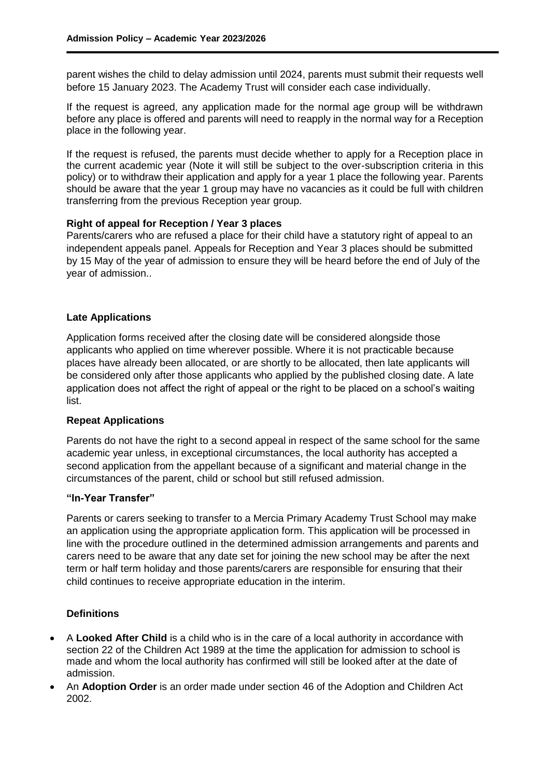parent wishes the child to delay admission until 2024, parents must submit their requests well before 15 January 2023. The Academy Trust will consider each case individually.

If the request is agreed, any application made for the normal age group will be withdrawn before any place is offered and parents will need to reapply in the normal way for a Reception place in the following year.

If the request is refused, the parents must decide whether to apply for a Reception place in the current academic year (Note it will still be subject to the over-subscription criteria in this policy) or to withdraw their application and apply for a year 1 place the following year. Parents should be aware that the year 1 group may have no vacancies as it could be full with children transferring from the previous Reception year group.

## **Right of appeal for Reception / Year 3 places**

Parents/carers who are refused a place for their child have a statutory right of appeal to an independent appeals panel. Appeals for Reception and Year 3 places should be submitted by 15 May of the year of admission to ensure they will be heard before the end of July of the year of admission..

## **Late Applications**

Application forms received after the closing date will be considered alongside those applicants who applied on time wherever possible. Where it is not practicable because places have already been allocated, or are shortly to be allocated, then late applicants will be considered only after those applicants who applied by the published closing date. A late application does not affect the right of appeal or the right to be placed on a school's waiting list.

#### **Repeat Applications**

Parents do not have the right to a second appeal in respect of the same school for the same academic year unless, in exceptional circumstances, the local authority has accepted a second application from the appellant because of a significant and material change in the circumstances of the parent, child or school but still refused admission.

#### **"In-Year Transfer"**

Parents or carers seeking to transfer to a Mercia Primary Academy Trust School may make an application using the appropriate application form. This application will be processed in line with the procedure outlined in the determined admission arrangements and parents and carers need to be aware that any date set for joining the new school may be after the next term or half term holiday and those parents/carers are responsible for ensuring that their child continues to receive appropriate education in the interim.

## **Definitions**

- A **Looked After Child** is a child who is in the care of a local authority in accordance with section 22 of the Children Act 1989 at the time the application for admission to school is made and whom the local authority has confirmed will still be looked after at the date of admission.
- An **Adoption Order** is an order made under section 46 of the Adoption and Children Act 2002.